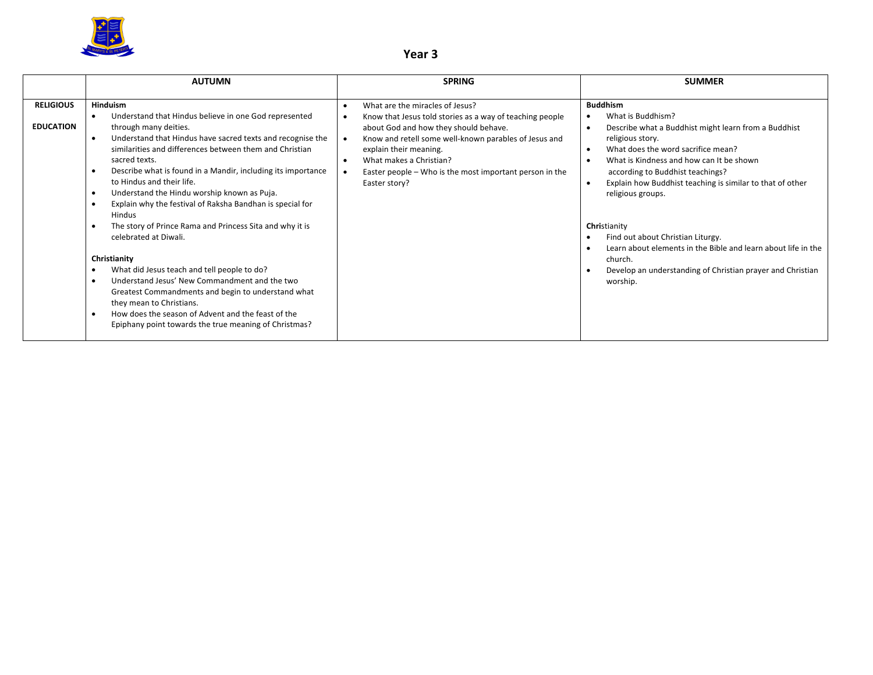

# **Year 3**

|                                      | <b>AUTUMN</b>                                                                                                                                                                                                                                                                                                                                                                                                                                                                                                                                                                                                                                                                                                                        | <b>SPRING</b>                                                                                                                                                                                                                                                                                                                               | <b>SUMMER</b>                                                                                                                                                                                                                                                                                                                                                                                                                                                                                                                                                                                        |
|--------------------------------------|--------------------------------------------------------------------------------------------------------------------------------------------------------------------------------------------------------------------------------------------------------------------------------------------------------------------------------------------------------------------------------------------------------------------------------------------------------------------------------------------------------------------------------------------------------------------------------------------------------------------------------------------------------------------------------------------------------------------------------------|---------------------------------------------------------------------------------------------------------------------------------------------------------------------------------------------------------------------------------------------------------------------------------------------------------------------------------------------|------------------------------------------------------------------------------------------------------------------------------------------------------------------------------------------------------------------------------------------------------------------------------------------------------------------------------------------------------------------------------------------------------------------------------------------------------------------------------------------------------------------------------------------------------------------------------------------------------|
| <b>RELIGIOUS</b><br><b>EDUCATION</b> | <b>Hinduism</b><br>Understand that Hindus believe in one God represented<br>$\bullet$<br>through many deities.<br>Understand that Hindus have sacred texts and recognise the<br>$\bullet$<br>similarities and differences between them and Christian<br>sacred texts.<br>Describe what is found in a Mandir, including its importance<br>$\bullet$<br>to Hindus and their life.<br>Understand the Hindu worship known as Puja.<br>$\bullet$<br>Explain why the festival of Raksha Bandhan is special for<br>Hindus<br>The story of Prince Rama and Princess Sita and why it is<br>celebrated at Diwali.<br>Christianity<br>What did Jesus teach and tell people to do?<br>Understand Jesus' New Commandment and the two<br>$\bullet$ | What are the miracles of Jesus?<br>Know that Jesus told stories as a way of teaching people<br>about God and how they should behave.<br>Know and retell some well-known parables of Jesus and<br>explain their meaning.<br>What makes a Christian?<br>$\bullet$<br>Easter people – Who is the most important person in the<br>Easter story? | <b>Buddhism</b><br>What is Buddhism?<br>$\bullet$<br>Describe what a Buddhist might learn from a Buddhist<br>$\bullet$<br>religious story.<br>What does the word sacrifice mean?<br>$\bullet$<br>What is Kindness and how can It be shown<br>$\bullet$<br>according to Buddhist teachings?<br>Explain how Buddhist teaching is similar to that of other<br>$\bullet$<br>religious groups.<br>Christianity<br>Find out about Christian Liturgy.<br>Learn about elements in the Bible and learn about life in the<br>church.<br>Develop an understanding of Christian prayer and Christian<br>worship. |
|                                      | Greatest Commandments and begin to understand what<br>they mean to Christians.<br>How does the season of Advent and the feast of the<br>$\bullet$<br>Epiphany point towards the true meaning of Christmas?                                                                                                                                                                                                                                                                                                                                                                                                                                                                                                                           |                                                                                                                                                                                                                                                                                                                                             |                                                                                                                                                                                                                                                                                                                                                                                                                                                                                                                                                                                                      |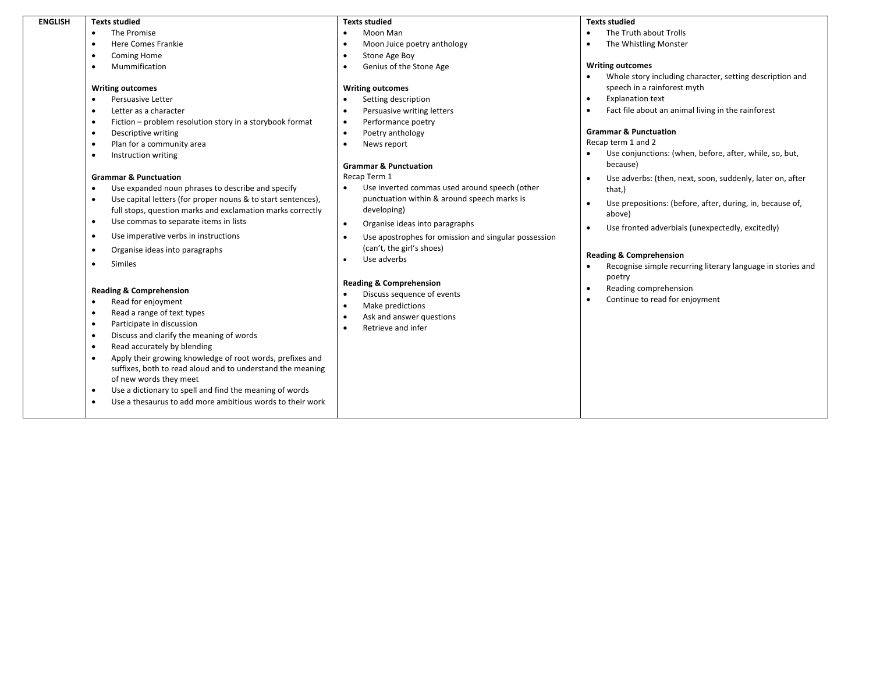#### **ENGLISH Texts studied**

- The Promise
- Here Comes Frankie
- Coming Home
- Mummification

#### **Writing outcomes**

- Persuasive Letter
- Letter as a character
- Fiction problem resolution story in a storybook format
- Descriptive writing
- Plan for a community area
- Instruction writing

### **Grammar & Punctuation**

- Use expanded noun phrases to describe and specify
- Use capital letters (for proper nouns & to start sentences), full stops, question marks and exclamation marks correctly
- Use commas to separate items in lists
- Use imperative verbs in instructions
- Organise ideas into paragraphs
- Similes

### **Reading & Comprehension**

- Read for enjoyment
- Read a range of text types
- Participate in discussion
- Discuss and clarify the meaning of words
- Read accurately by blending
- Apply their growing knowledge of root words, prefixes and suffixes, both to read aloud and to understand the meaning of new words they meet
- Use a dictionary to spell and find the meaning of words
- Use a thesaurus to add more ambitious words to their work

# **Texts studied**

- Moon Man
- Moon Juice poetry anthology
- Stone Age Boy
- Genius of the Stone Age

## **Writing outcomes**

- Setting description
- Persuasive writing letters
- Performance poetry
- Poetry anthology
- News report

## **Grammar & Punctuation**

Recap Term 1

- Use inverted commas used around speech (other punctuation within & around speech marks is developing)
- Organise ideas into paragraphs
- Use apostrophes for omission and singular possession (can't, the girl's shoes)
- Use adverbs

## **Reading & Comprehension**

- Discuss sequence of events
- Make predictions
- Ask and answer questions
- Retrieve and infer

# **Texts studied**

- The Truth about Trolls
- The Whistling Monster

## **Writing outcomes**

- Whole story including character, setting description and speech in a rainforest myth
- Explanation text
- Fact file about an animal living in the rainforest

# **Grammar & Punctuation**

Recap term 1 and 2

- Use conjunctions: (when, before, after, while, so, but, because)
- Use adverbs: (then, next, soon, suddenly, later on, after that,)
- Use prepositions: (before, after, during, in, because of, above)
- Use fronted adverbials (unexpectedly, excitedly)

# **Reading & Comprehension**

- Recognise simple recurring literary language in stories and poetry
- Reading comprehension
- Continue to read for enjoyment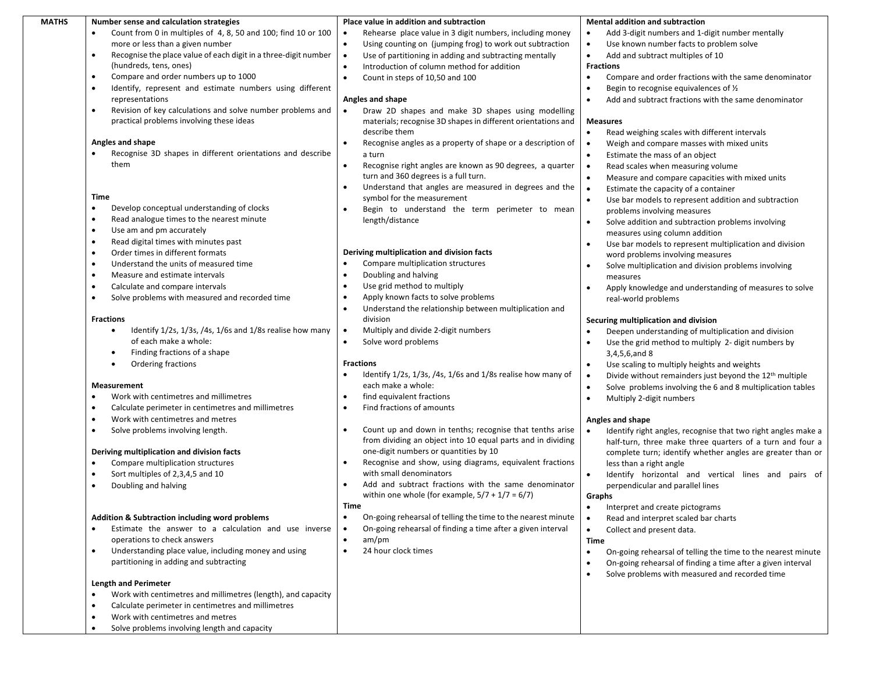| <b>MATHS</b> | Number sense and calculation strategies                                                                    | Place value in addition and subtraction                                   | <b>Mental addition and subtraction</b>                                                        |
|--------------|------------------------------------------------------------------------------------------------------------|---------------------------------------------------------------------------|-----------------------------------------------------------------------------------------------|
|              | Count from 0 in multiples of 4, 8, 50 and 100; find 10 or 100<br>$\bullet$                                 | Rehearse place value in 3 digit numbers, including money<br>$\bullet$     | Add 3-digit numbers and 1-digit number mentally<br>$\bullet$                                  |
|              | more or less than a given number                                                                           | Using counting on (jumping frog) to work out subtraction                  | Use known number facts to problem solve<br>$\bullet$                                          |
|              | Recognise the place value of each digit in a three-digit number<br>$\bullet$                               | Use of partitioning in adding and subtracting mentally<br>$\bullet$       | Add and subtract multiples of 10<br>$\bullet$                                                 |
|              | (hundreds, tens, ones)                                                                                     | Introduction of column method for addition<br>$\bullet$                   | <b>Fractions</b>                                                                              |
|              | Compare and order numbers up to 1000<br>$\bullet$                                                          | Count in steps of 10,50 and 100<br>$\bullet$                              | Compare and order fractions with the same denominator<br>$\bullet$                            |
|              | Identify, represent and estimate numbers using different<br>$\bullet$                                      |                                                                           | Begin to recognise equivalences of 1/2<br>$\bullet$                                           |
|              | representations                                                                                            | Angles and shape                                                          | $\bullet$<br>Add and subtract fractions with the same denominator                             |
|              | Revision of key calculations and solve number problems and<br>$\bullet$                                    | Draw 2D shapes and make 3D shapes using modelling                         |                                                                                               |
|              | practical problems involving these ideas                                                                   | materials; recognise 3D shapes in different orientations and              | <b>Measures</b>                                                                               |
|              | Angles and shape                                                                                           | describe them                                                             | $\bullet$<br>Read weighing scales with different intervals                                    |
|              | Recognise 3D shapes in different orientations and describe                                                 | Recognise angles as a property of shape or a description of<br>a turn     | Weigh and compare masses with mixed units<br>$\bullet$                                        |
|              | them                                                                                                       | Recognise right angles are known as 90 degrees, a quarter                 | Estimate the mass of an object<br>$\bullet$<br>Read scales when measuring volume<br>$\bullet$ |
|              |                                                                                                            | turn and 360 degrees is a full turn.                                      | Measure and compare capacities with mixed units<br>$\bullet$                                  |
|              |                                                                                                            | Understand that angles are measured in degrees and the<br>$\bullet$       | Estimate the capacity of a container<br>$\bullet$                                             |
|              | Time                                                                                                       | symbol for the measurement                                                | Use bar models to represent addition and subtraction<br>$\bullet$                             |
|              | Develop conceptual understanding of clocks<br>$\bullet$                                                    | Begin to understand the term perimeter to mean                            | problems involving measures                                                                   |
|              | $\bullet$<br>Read analogue times to the nearest minute                                                     | length/distance                                                           | Solve addition and subtraction problems involving<br>$\bullet$                                |
|              | Use am and pm accurately<br>$\bullet$                                                                      |                                                                           | measures using column addition                                                                |
|              | Read digital times with minutes past<br>$\bullet$                                                          |                                                                           | Use bar models to represent multiplication and division<br>$\bullet$                          |
|              | Order times in different formats<br>$\bullet$                                                              | Deriving multiplication and division facts                                | word problems involving measures                                                              |
|              | Understand the units of measured time<br>$\bullet$                                                         | Compare multiplication structures<br>$\bullet$                            | Solve multiplication and division problems involving<br>$\bullet$                             |
|              | Measure and estimate intervals<br>$\bullet$                                                                | Doubling and halving<br>$\bullet$                                         | measures                                                                                      |
|              | Calculate and compare intervals<br>$\bullet$                                                               | Use grid method to multiply<br>$\bullet$                                  | Apply knowledge and understanding of measures to solve<br>$\bullet$                           |
|              | Solve problems with measured and recorded time<br>$\bullet$                                                | Apply known facts to solve problems<br>$\bullet$                          | real-world problems                                                                           |
|              |                                                                                                            | Understand the relationship between multiplication and                    |                                                                                               |
|              | <b>Fractions</b>                                                                                           | division                                                                  | Securing multiplication and division                                                          |
|              | Identify $1/2s$ , $1/3s$ , $/4s$ , $1/6s$ and $1/8s$ realise how many<br>$\bullet$                         | Multiply and divide 2-digit numbers<br>$\bullet$                          | Deepen understanding of multiplication and division<br>$\bullet$                              |
|              | of each make a whole:                                                                                      | Solve word problems                                                       | Use the grid method to multiply 2- digit numbers by<br>$\bullet$                              |
|              | Finding fractions of a shape<br>$\bullet$                                                                  | <b>Fractions</b>                                                          | 3,4,5,6,and 8                                                                                 |
|              | Ordering fractions<br>٠                                                                                    | Identify 1/2s, 1/3s, /4s, 1/6s and 1/8s realise how many of               | Use scaling to multiply heights and weights<br>$\bullet$                                      |
|              | <b>Measurement</b>                                                                                         | each make a whole:                                                        | Divide without remainders just beyond the 12 <sup>th</sup> multiple<br>$\bullet$              |
|              | Work with centimetres and millimetres<br>$\bullet$                                                         | find equivalent fractions<br>$\bullet$                                    | Solve problems involving the 6 and 8 multiplication tables<br>$\bullet$<br>$\bullet$          |
|              | Calculate perimeter in centimetres and millimetres<br>$\bullet$                                            | Find fractions of amounts<br>$\bullet$                                    | Multiply 2-digit numbers                                                                      |
|              | Work with centimetres and metres<br>$\bullet$                                                              |                                                                           | Angles and shape                                                                              |
|              | $\bullet$<br>Solve problems involving length.                                                              | Count up and down in tenths; recognise that tenths arise<br>$\bullet$     | Identify right angles, recognise that two right angles make a                                 |
|              |                                                                                                            | from dividing an object into 10 equal parts and in dividing               | half-turn, three make three quarters of a turn and four a                                     |
|              | Deriving multiplication and division facts                                                                 | one-digit numbers or quantities by 10                                     | complete turn; identify whether angles are greater than or                                    |
|              | Compare multiplication structures<br>$\bullet$                                                             | Recognise and show, using diagrams, equivalent fractions<br>$\bullet$     | less than a right angle                                                                       |
|              | Sort multiples of 2,3,4,5 and 10<br>$\bullet$                                                              | with small denominators                                                   | Identify horizontal and vertical lines and pairs of<br>$\bullet$                              |
|              | Doubling and halving<br>$\bullet$                                                                          | Add and subtract fractions with the same denominator                      | perpendicular and parallel lines                                                              |
|              |                                                                                                            | within one whole (for example, $5/7 + 1/7 = 6/7$ )                        | Graphs                                                                                        |
|              |                                                                                                            | Time                                                                      | $\bullet$<br>Interpret and create pictograms                                                  |
|              | <b>Addition &amp; Subtraction including word problems</b>                                                  | On-going rehearsal of telling the time to the nearest minute<br>$\bullet$ | Read and interpret scaled bar charts<br>$\bullet$                                             |
|              | Estimate the answer to a calculation and use inverse<br>$\bullet$                                          | On-going rehearsal of finding a time after a given interval<br>$\bullet$  | $\bullet$<br>Collect and present data.                                                        |
|              | operations to check answers                                                                                | am/pm<br>$\bullet$                                                        | Time                                                                                          |
|              | Understanding place value, including money and using<br>$\bullet$                                          | 24 hour clock times<br>$\bullet$                                          | On-going rehearsal of telling the time to the nearest minute<br>$\bullet$                     |
|              | partitioning in adding and subtracting                                                                     |                                                                           | On-going rehearsal of finding a time after a given interval<br>$\bullet$                      |
|              |                                                                                                            |                                                                           | Solve problems with measured and recorded time<br>$\bullet$                                   |
|              | <b>Length and Perimeter</b>                                                                                |                                                                           |                                                                                               |
|              | Work with centimetres and millimetres (length), and capacity<br>$\bullet$                                  |                                                                           |                                                                                               |
|              | Calculate perimeter in centimetres and millimetres<br>$\bullet$                                            |                                                                           |                                                                                               |
|              | Work with centimetres and metres<br>$\bullet$<br>Solve problems involving length and capacity<br>$\bullet$ |                                                                           |                                                                                               |
|              |                                                                                                            |                                                                           |                                                                                               |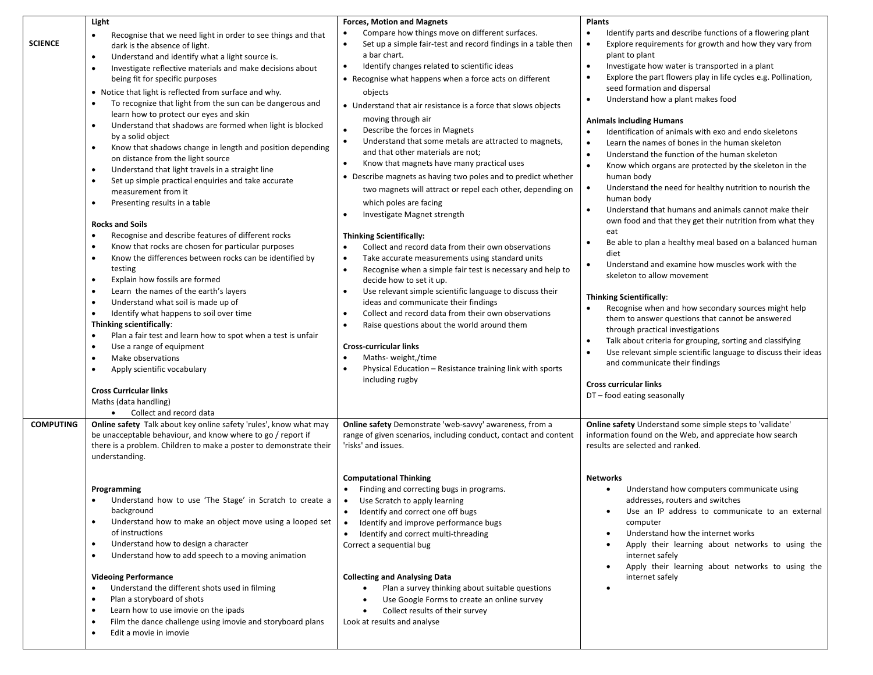|                  | Light                                                                                                                                                                                                                                                                                                                                                                                                                                                                                                                                                                                                                                                                                                                                                                                                                                                                                                                                                                                                                                                                                                                                                                                                                                                                                                                                                                                                                                                                                                                                                                  | <b>Forces, Motion and Magnets</b>                                                                                                                                                                                                                                                                                                                                                                                                                                                                                                                                                                                                                                                                                                                                                                                                                                                                                                                                                                                                                                                                                                                                                                                                                                                                                                                                                                                                                   | <b>Plants</b>                                                                                                                                                                                                                                                                                                                                                                                                                                                                                                                                                                                                                                                                                                                                                                                                                                                                                                                                                                                                                                                                                                                                                                                                                                                                                                                                                                                                                                                                                                                                                                |
|------------------|------------------------------------------------------------------------------------------------------------------------------------------------------------------------------------------------------------------------------------------------------------------------------------------------------------------------------------------------------------------------------------------------------------------------------------------------------------------------------------------------------------------------------------------------------------------------------------------------------------------------------------------------------------------------------------------------------------------------------------------------------------------------------------------------------------------------------------------------------------------------------------------------------------------------------------------------------------------------------------------------------------------------------------------------------------------------------------------------------------------------------------------------------------------------------------------------------------------------------------------------------------------------------------------------------------------------------------------------------------------------------------------------------------------------------------------------------------------------------------------------------------------------------------------------------------------------|-----------------------------------------------------------------------------------------------------------------------------------------------------------------------------------------------------------------------------------------------------------------------------------------------------------------------------------------------------------------------------------------------------------------------------------------------------------------------------------------------------------------------------------------------------------------------------------------------------------------------------------------------------------------------------------------------------------------------------------------------------------------------------------------------------------------------------------------------------------------------------------------------------------------------------------------------------------------------------------------------------------------------------------------------------------------------------------------------------------------------------------------------------------------------------------------------------------------------------------------------------------------------------------------------------------------------------------------------------------------------------------------------------------------------------------------------------|------------------------------------------------------------------------------------------------------------------------------------------------------------------------------------------------------------------------------------------------------------------------------------------------------------------------------------------------------------------------------------------------------------------------------------------------------------------------------------------------------------------------------------------------------------------------------------------------------------------------------------------------------------------------------------------------------------------------------------------------------------------------------------------------------------------------------------------------------------------------------------------------------------------------------------------------------------------------------------------------------------------------------------------------------------------------------------------------------------------------------------------------------------------------------------------------------------------------------------------------------------------------------------------------------------------------------------------------------------------------------------------------------------------------------------------------------------------------------------------------------------------------------------------------------------------------------|
| <b>SCIENCE</b>   | Recognise that we need light in order to see things and that<br>dark is the absence of light.<br>Understand and identify what a light source is.<br>$\bullet$<br>Investigate reflective materials and make decisions about<br>$\bullet$<br>being fit for specific purposes<br>• Notice that light is reflected from surface and why.<br>To recognize that light from the sun can be dangerous and<br>learn how to protect our eyes and skin<br>Understand that shadows are formed when light is blocked<br>$\bullet$<br>by a solid object<br>Know that shadows change in length and position depending<br>$\bullet$<br>on distance from the light source<br>Understand that light travels in a straight line<br>$\bullet$<br>Set up simple practical enquiries and take accurate<br>٠<br>measurement from it<br>Presenting results in a table<br>٠<br><b>Rocks and Soils</b><br>Recognise and describe features of different rocks<br>$\bullet$<br>Know that rocks are chosen for particular purposes<br>$\bullet$<br>Know the differences between rocks can be identified by<br>$\bullet$<br>testing<br>Explain how fossils are formed<br>$\bullet$<br>Learn the names of the earth's layers<br>$\bullet$<br>Understand what soil is made up of<br>$\bullet$<br>Identify what happens to soil over time<br>$\bullet$<br>Thinking scientifically:<br>Plan a fair test and learn how to spot when a test is unfair<br>$\bullet$<br>Use a range of equipment<br>٠<br>Make observations<br>٠<br>Apply scientific vocabulary<br>$\bullet$<br><b>Cross Curricular links</b> | Compare how things move on different surfaces.<br>Set up a simple fair-test and record findings in a table then<br>$\bullet$<br>a bar chart.<br>Identify changes related to scientific ideas<br>• Recognise what happens when a force acts on different<br>objects<br>• Understand that air resistance is a force that slows objects<br>moving through air<br>Describe the forces in Magnets<br>$\bullet$<br>Understand that some metals are attracted to magnets,<br>$\bullet$<br>and that other materials are not;<br>Know that magnets have many practical uses<br>$\bullet$<br>• Describe magnets as having two poles and to predict whether<br>two magnets will attract or repel each other, depending on<br>which poles are facing<br>Investigate Magnet strength<br>$\bullet$<br><b>Thinking Scientifically:</b><br>Collect and record data from their own observations<br>Take accurate measurements using standard units<br>$\bullet$<br>Recognise when a simple fair test is necessary and help to<br>$\bullet$<br>decide how to set it up.<br>Use relevant simple scientific language to discuss their<br>ideas and communicate their findings<br>Collect and record data from their own observations<br>٠<br>Raise questions about the world around them<br>$\bullet$<br><b>Cross-curricular links</b><br>Maths- weight,/time<br>$\bullet$<br>Physical Education - Resistance training link with sports<br>$\bullet$<br>including rugby | Identify parts and describe functions of a flowering plant<br>$\bullet$<br>Explore requirements for growth and how they vary from<br>$\bullet$<br>plant to plant<br>Investigate how water is transported in a plant<br>$\bullet$<br>Explore the part flowers play in life cycles e.g. Pollination,<br>$\bullet$<br>seed formation and dispersal<br>Understand how a plant makes food<br>$\bullet$<br><b>Animals including Humans</b><br>Identification of animals with exo and endo skeletons<br>$\bullet$<br>Learn the names of bones in the human skeleton<br>$\bullet$<br>Understand the function of the human skeleton<br>$\bullet$<br>$\bullet$<br>Know which organs are protected by the skeleton in the<br>human body<br>Understand the need for healthy nutrition to nourish the<br>$\bullet$<br>human body<br>Understand that humans and animals cannot make their<br>$\bullet$<br>own food and that they get their nutrition from what they<br>eat<br>Be able to plan a healthy meal based on a balanced human<br>$\bullet$<br>diet<br>Understand and examine how muscles work with the<br>$\bullet$<br>skeleton to allow movement<br><b>Thinking Scientifically:</b><br>Recognise when and how secondary sources might help<br>them to answer questions that cannot be answered<br>through practical investigations<br>Talk about criteria for grouping, sorting and classifying<br>$\bullet$<br>Use relevant simple scientific language to discuss their ideas<br>and communicate their findings<br><b>Cross curricular links</b><br>DT - food eating seasonally |
|                  | Maths (data handling)<br>Collect and record data                                                                                                                                                                                                                                                                                                                                                                                                                                                                                                                                                                                                                                                                                                                                                                                                                                                                                                                                                                                                                                                                                                                                                                                                                                                                                                                                                                                                                                                                                                                       |                                                                                                                                                                                                                                                                                                                                                                                                                                                                                                                                                                                                                                                                                                                                                                                                                                                                                                                                                                                                                                                                                                                                                                                                                                                                                                                                                                                                                                                     |                                                                                                                                                                                                                                                                                                                                                                                                                                                                                                                                                                                                                                                                                                                                                                                                                                                                                                                                                                                                                                                                                                                                                                                                                                                                                                                                                                                                                                                                                                                                                                              |
| <b>COMPUTING</b> | Online safety Talk about key online safety 'rules', know what may<br>be unacceptable behaviour, and know where to go / report if<br>there is a problem. Children to make a poster to demonstrate their<br>understanding.                                                                                                                                                                                                                                                                                                                                                                                                                                                                                                                                                                                                                                                                                                                                                                                                                                                                                                                                                                                                                                                                                                                                                                                                                                                                                                                                               | Online safety Demonstrate 'web-savvy' awareness, from a<br>range of given scenarios, including conduct, contact and content<br>'risks' and issues.                                                                                                                                                                                                                                                                                                                                                                                                                                                                                                                                                                                                                                                                                                                                                                                                                                                                                                                                                                                                                                                                                                                                                                                                                                                                                                  | Online safety Understand some simple steps to 'validate'<br>information found on the Web, and appreciate how search<br>results are selected and ranked.                                                                                                                                                                                                                                                                                                                                                                                                                                                                                                                                                                                                                                                                                                                                                                                                                                                                                                                                                                                                                                                                                                                                                                                                                                                                                                                                                                                                                      |
|                  | Programming<br>Understand how to use 'The Stage' in Scratch to create a<br>background<br>Understand how to make an object move using a looped set<br>of instructions<br>Understand how to design a character<br>Understand how to add speech to a moving animation<br>٠<br><b>Videoing Performance</b><br>Understand the different shots used in filming<br>Plan a storyboard of shots<br>٠<br>Learn how to use imovie on the ipads                                                                                                                                                                                                                                                                                                                                                                                                                                                                                                                                                                                                                                                                                                                                                                                                                                                                                                                                                                                                                                                                                                                                    | <b>Computational Thinking</b><br>Finding and correcting bugs in programs.<br>• Use Scratch to apply learning<br>Identify and correct one off bugs<br>Identify and improve performance bugs<br>Identify and correct multi-threading<br>Correct a sequential bug<br><b>Collecting and Analysing Data</b><br>Plan a survey thinking about suitable questions<br>Use Google Forms to create an online survey<br>Collect results of their survey                                                                                                                                                                                                                                                                                                                                                                                                                                                                                                                                                                                                                                                                                                                                                                                                                                                                                                                                                                                                         | Networks<br>Understand how computers communicate using<br>addresses, routers and switches<br>Use an IP address to communicate to an external<br>computer<br>Understand how the internet works<br>Apply their learning about networks to using the<br>internet safely<br>Apply their learning about networks to using the<br>internet safely                                                                                                                                                                                                                                                                                                                                                                                                                                                                                                                                                                                                                                                                                                                                                                                                                                                                                                                                                                                                                                                                                                                                                                                                                                  |
|                  | Film the dance challenge using imovie and storyboard plans<br>Edit a movie in imovie<br>٠                                                                                                                                                                                                                                                                                                                                                                                                                                                                                                                                                                                                                                                                                                                                                                                                                                                                                                                                                                                                                                                                                                                                                                                                                                                                                                                                                                                                                                                                              | Look at results and analyse                                                                                                                                                                                                                                                                                                                                                                                                                                                                                                                                                                                                                                                                                                                                                                                                                                                                                                                                                                                                                                                                                                                                                                                                                                                                                                                                                                                                                         |                                                                                                                                                                                                                                                                                                                                                                                                                                                                                                                                                                                                                                                                                                                                                                                                                                                                                                                                                                                                                                                                                                                                                                                                                                                                                                                                                                                                                                                                                                                                                                              |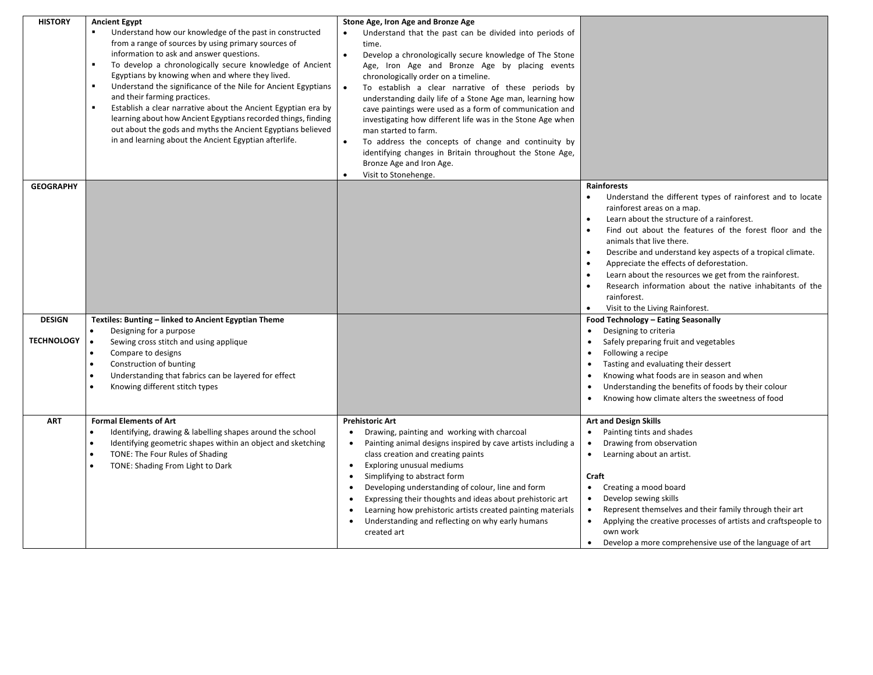| <b>HISTORY</b>    | <b>Ancient Egypt</b>                                                                                        | Stone Age, Iron Age and Bronze Age                                                                      |                                                                                         |
|-------------------|-------------------------------------------------------------------------------------------------------------|---------------------------------------------------------------------------------------------------------|-----------------------------------------------------------------------------------------|
|                   | Understand how our knowledge of the past in constructed                                                     | Understand that the past can be divided into periods of                                                 |                                                                                         |
|                   | from a range of sources by using primary sources of                                                         | time.                                                                                                   |                                                                                         |
|                   | information to ask and answer questions.<br>$\blacksquare$                                                  | $\bullet$<br>Develop a chronologically secure knowledge of The Stone                                    |                                                                                         |
|                   | To develop a chronologically secure knowledge of Ancient<br>Egyptians by knowing when and where they lived. | Age, Iron Age and Bronze Age by placing events                                                          |                                                                                         |
|                   | Understand the significance of the Nile for Ancient Egyptians                                               | chronologically order on a timeline.<br>$\bullet$<br>To establish a clear narrative of these periods by |                                                                                         |
|                   | and their farming practices.                                                                                | understanding daily life of a Stone Age man, learning how                                               |                                                                                         |
|                   | Establish a clear narrative about the Ancient Egyptian era by<br>٠                                          | cave paintings were used as a form of communication and                                                 |                                                                                         |
|                   | learning about how Ancient Egyptians recorded things, finding                                               | investigating how different life was in the Stone Age when                                              |                                                                                         |
|                   | out about the gods and myths the Ancient Egyptians believed                                                 | man started to farm.                                                                                    |                                                                                         |
|                   | in and learning about the Ancient Egyptian afterlife.                                                       | To address the concepts of change and continuity by<br>$\bullet$                                        |                                                                                         |
|                   |                                                                                                             | identifying changes in Britain throughout the Stone Age,                                                |                                                                                         |
|                   |                                                                                                             | Bronze Age and Iron Age.<br>$\bullet$                                                                   |                                                                                         |
| <b>GEOGRAPHY</b>  |                                                                                                             | Visit to Stonehenge.                                                                                    | Rainforests                                                                             |
|                   |                                                                                                             |                                                                                                         | Understand the different types of rainforest and to locate                              |
|                   |                                                                                                             |                                                                                                         | rainforest areas on a map.                                                              |
|                   |                                                                                                             |                                                                                                         | Learn about the structure of a rainforest.                                              |
|                   |                                                                                                             |                                                                                                         | Find out about the features of the forest floor and the                                 |
|                   |                                                                                                             |                                                                                                         | animals that live there.                                                                |
|                   |                                                                                                             |                                                                                                         | Describe and understand key aspects of a tropical climate.<br>$\bullet$                 |
|                   |                                                                                                             |                                                                                                         | Appreciate the effects of deforestation.                                                |
|                   |                                                                                                             |                                                                                                         | Learn about the resources we get from the rainforest.                                   |
|                   |                                                                                                             |                                                                                                         | Research information about the native inhabitants of the<br>$\bullet$<br>rainforest.    |
|                   |                                                                                                             |                                                                                                         | Visit to the Living Rainforest.<br>$\bullet$                                            |
| <b>DESIGN</b>     | Textiles: Bunting - linked to Ancient Egyptian Theme                                                        |                                                                                                         | Food Technology - Eating Seasonally                                                     |
|                   | Designing for a purpose<br>$\bullet$                                                                        |                                                                                                         | Designing to criteria<br>$\bullet$                                                      |
| <b>TECHNOLOGY</b> | Sewing cross stitch and using applique<br>$\bullet$                                                         |                                                                                                         | Safely preparing fruit and vegetables                                                   |
|                   | Compare to designs<br>$\bullet$                                                                             |                                                                                                         | Following a recipe                                                                      |
|                   | Construction of bunting                                                                                     |                                                                                                         | Tasting and evaluating their dessert                                                    |
|                   | Understanding that fabrics can be layered for effect                                                        |                                                                                                         | Knowing what foods are in season and when                                               |
|                   | Knowing different stitch types                                                                              |                                                                                                         | Understanding the benefits of foods by their colour<br>$\bullet$                        |
|                   |                                                                                                             |                                                                                                         | Knowing how climate alters the sweetness of food                                        |
| <b>ART</b>        | <b>Formal Elements of Art</b>                                                                               | <b>Prehistoric Art</b>                                                                                  | <b>Art and Design Skills</b>                                                            |
|                   | Identifying, drawing & labelling shapes around the school                                                   | Drawing, painting and working with charcoal                                                             | Painting tints and shades                                                               |
|                   | Identifying geometric shapes within an object and sketching                                                 | Painting animal designs inspired by cave artists including a<br>$\bullet$                               | Drawing from observation<br>$\bullet$                                                   |
|                   | TONE: The Four Rules of Shading                                                                             | class creation and creating paints                                                                      | Learning about an artist.<br>$\bullet$                                                  |
|                   | TONE: Shading From Light to Dark                                                                            | Exploring unusual mediums<br>$\bullet$                                                                  |                                                                                         |
|                   |                                                                                                             | Simplifying to abstract form                                                                            | Craft                                                                                   |
|                   |                                                                                                             | Developing understanding of colour, line and form<br>$\bullet$                                          | Creating a mood board<br>$\bullet$                                                      |
|                   |                                                                                                             | Expressing their thoughts and ideas about prehistoric art                                               | Develop sewing skills<br>$\bullet$                                                      |
|                   |                                                                                                             | Learning how prehistoric artists created painting materials                                             | Represent themselves and their family through their art<br>$\bullet$                    |
|                   |                                                                                                             | Understanding and reflecting on why early humans<br>created art                                         | Applying the creative processes of artists and craftspeople to<br>$\bullet$<br>own work |
|                   |                                                                                                             |                                                                                                         | Develop a more comprehensive use of the language of art<br>$\bullet$                    |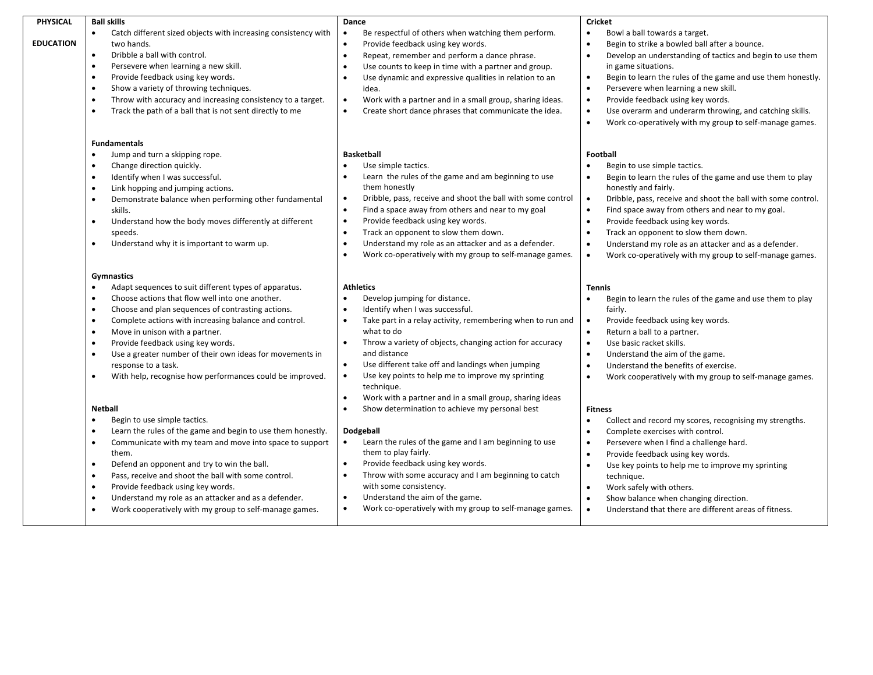| PHYSICAL         | <b>Ball skills</b>                                                                                                                                                                                                                                                                                                                                                                                                                                                                                                                                                 | Dance                                                                                                                                                                                                                                                                                                                                                                                                                                                                                                                                        | <b>Cricket</b>                                                                                                                                                                                                                                                                                                                                                                                                                                                                                                                                            |
|------------------|--------------------------------------------------------------------------------------------------------------------------------------------------------------------------------------------------------------------------------------------------------------------------------------------------------------------------------------------------------------------------------------------------------------------------------------------------------------------------------------------------------------------------------------------------------------------|----------------------------------------------------------------------------------------------------------------------------------------------------------------------------------------------------------------------------------------------------------------------------------------------------------------------------------------------------------------------------------------------------------------------------------------------------------------------------------------------------------------------------------------------|-----------------------------------------------------------------------------------------------------------------------------------------------------------------------------------------------------------------------------------------------------------------------------------------------------------------------------------------------------------------------------------------------------------------------------------------------------------------------------------------------------------------------------------------------------------|
| <b>EDUCATION</b> | Catch different sized objects with increasing consistency with<br>$\bullet$<br>two hands.<br>Dribble a ball with control.<br>$\bullet$<br>Persevere when learning a new skill.<br>$\bullet$<br>Provide feedback using key words.<br>$\bullet$<br>Show a variety of throwing techniques.<br>$\bullet$<br>Throw with accuracy and increasing consistency to a target.<br>$\bullet$<br>Track the path of a ball that is not sent directly to me                                                                                                                       | Be respectful of others when watching them perform.<br>Provide feedback using key words.<br>$\bullet$<br>Repeat, remember and perform a dance phrase.<br>$\bullet$<br>Use counts to keep in time with a partner and group.<br>$\bullet$<br>Use dynamic and expressive qualities in relation to an<br>$\bullet$<br>idea.<br>Work with a partner and in a small group, sharing ideas.<br>$\bullet$<br>Create short dance phrases that communicate the idea.<br>$\bullet$                                                                       | Bowl a ball towards a target.<br>$\bullet$<br>Begin to strike a bowled ball after a bounce.<br>$\bullet$<br>Develop an understanding of tactics and begin to use them<br>$\bullet$<br>in game situations.<br>Begin to learn the rules of the game and use them honestly.<br>$\bullet$<br>Persevere when learning a new skill.<br>$\bullet$<br>Provide feedback using key words.<br>$\bullet$<br>Use overarm and underarm throwing, and catching skills.<br>$\bullet$<br>$\bullet$<br>Work co-operatively with my group to self-manage games.              |
|                  | <b>Fundamentals</b><br>Jump and turn a skipping rope.<br>$\bullet$<br>Change direction quickly.<br>Identify when I was successful.<br>$\bullet$<br>Link hopping and jumping actions.<br>$\bullet$<br>Demonstrate balance when performing other fundamental<br>$\bullet$<br>skills.<br>Understand how the body moves differently at different<br>$\bullet$<br>speeds.<br>Understand why it is important to warm up.<br>$\bullet$                                                                                                                                    | <b>Basketball</b><br>Use simple tactics.<br>$\bullet$<br>Learn the rules of the game and am beginning to use<br>$\bullet$<br>them honestly<br>Dribble, pass, receive and shoot the ball with some control<br>$\bullet$<br>$\bullet$<br>Find a space away from others and near to my goal<br>Provide feedback using key words.<br>$\bullet$<br>$\bullet$<br>Track an opponent to slow them down.<br>Understand my role as an attacker and as a defender.<br>$\bullet$<br>$\bullet$<br>Work co-operatively with my group to self-manage games. | Football<br>Begin to use simple tactics.<br>$\bullet$<br>Begin to learn the rules of the game and use them to play<br>$\bullet$<br>honestly and fairly.<br>Dribble, pass, receive and shoot the ball with some control.<br>$\bullet$<br>$\bullet$<br>Find space away from others and near to my goal.<br>Provide feedback using key words.<br>$\bullet$<br>$\bullet$<br>Track an opponent to slow them down.<br>$\bullet$<br>Understand my role as an attacker and as a defender.<br>Work co-operatively with my group to self-manage games.<br>$\bullet$ |
|                  | Gymnastics<br>Adapt sequences to suit different types of apparatus.<br>$\bullet$<br>Choose actions that flow well into one another.<br>$\bullet$<br>Choose and plan sequences of contrasting actions.<br>$\bullet$<br>Complete actions with increasing balance and control.<br>$\bullet$<br>Move in unison with a partner.<br>$\bullet$<br>Provide feedback using key words.<br>$\bullet$<br>Use a greater number of their own ideas for movements in<br>$\bullet$<br>response to a task.<br>With help, recognise how performances could be improved.<br>$\bullet$ | <b>Athletics</b><br>Develop jumping for distance.<br>$\bullet$<br>Identify when I was successful.<br>$\bullet$<br>$\bullet$<br>Take part in a relay activity, remembering when to run and<br>what to do<br>Throw a variety of objects, changing action for accuracy<br>$\bullet$<br>and distance<br>Use different take off and landings when jumping<br>$\bullet$<br>Use key points to help me to improve my sprinting<br>$\bullet$<br>technique.<br>Work with a partner and in a small group, sharing ideas<br>$\bullet$                    | <b>Tennis</b><br>Begin to learn the rules of the game and use them to play<br>$\bullet$<br>fairly.<br>Provide feedback using key words.<br>$\bullet$<br>Return a ball to a partner.<br>$\bullet$<br>$\bullet$<br>Use basic racket skills.<br>Understand the aim of the game.<br>$\bullet$<br>Understand the benefits of exercise.<br>$\bullet$<br>$\bullet$<br>Work cooperatively with my group to self-manage games.                                                                                                                                     |
|                  | <b>Netball</b><br>Begin to use simple tactics.<br>$\bullet$<br>Learn the rules of the game and begin to use them honestly.<br>Communicate with my team and move into space to support<br>$\bullet$<br>them.<br>Defend an opponent and try to win the ball.<br>$\bullet$<br>Pass, receive and shoot the ball with some control.<br>Provide feedback using key words.<br>$\bullet$<br>Understand my role as an attacker and as a defender.<br>$\bullet$<br>Work cooperatively with my group to self-manage games.                                                    | Show determination to achieve my personal best<br>$\bullet$<br>Dodgeball<br>Learn the rules of the game and I am beginning to use<br>$\bullet$<br>them to play fairly.<br>Provide feedback using key words.<br>$\bullet$<br>$\bullet$<br>Throw with some accuracy and I am beginning to catch<br>with some consistency.<br>Understand the aim of the game.<br>$\bullet$<br>$\bullet$<br>Work co-operatively with my group to self-manage games.                                                                                              | <b>Fitness</b><br>Collect and record my scores, recognising my strengths.<br>$\bullet$<br>$\bullet$<br>Complete exercises with control.<br>Persevere when I find a challenge hard.<br>$\bullet$<br>Provide feedback using key words.<br>$\bullet$<br>Use key points to help me to improve my sprinting<br>$\bullet$<br>technique.<br>Work safely with others.<br>$\bullet$<br>Show balance when changing direction.<br>$\bullet$<br>Understand that there are different areas of fitness.<br>$\bullet$                                                    |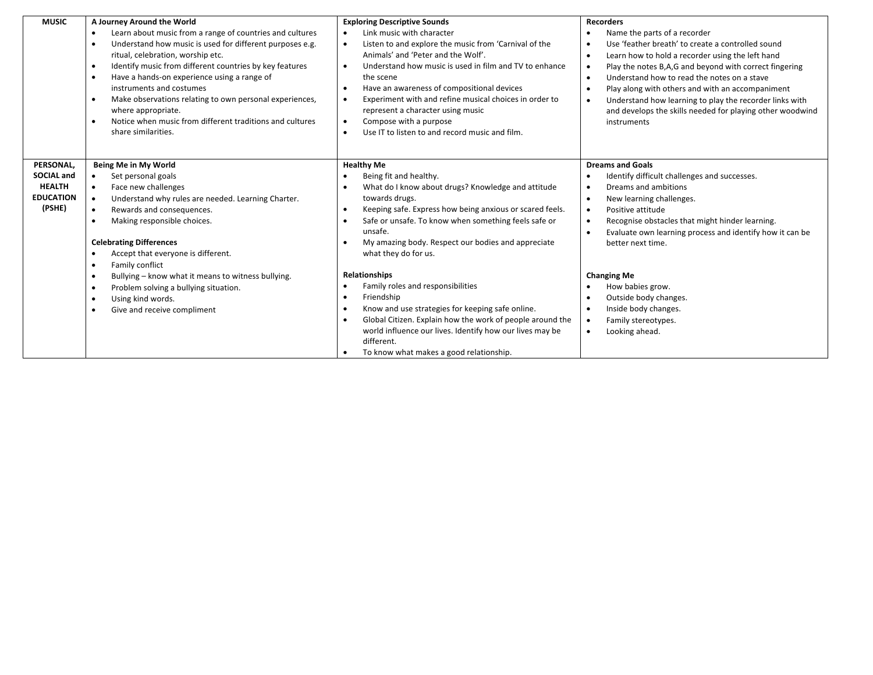| <b>MUSIC</b>                                                                  | A Journey Around the World<br>Learn about music from a range of countries and cultures<br>$\bullet$<br>Understand how music is used for different purposes e.g.<br>$\bullet$<br>ritual, celebration, worship etc.<br>Identify music from different countries by key features<br>$\bullet$<br>Have a hands-on experience using a range of<br>$\bullet$<br>instruments and costumes<br>Make observations relating to own personal experiences,<br>$\bullet$<br>where appropriate.<br>Notice when music from different traditions and cultures<br>$\bullet$ | <b>Exploring Descriptive Sounds</b><br>Link music with character<br>Listen to and explore the music from 'Carnival of the<br>$\bullet$<br>Animals' and 'Peter and the Wolf'.<br>Understand how music is used in film and TV to enhance<br>$\bullet$<br>the scene<br>Have an awareness of compositional devices<br>Experiment with and refine musical choices in order to<br>$\bullet$<br>represent a character using music<br>Compose with a purpose<br>$\bullet$ | <b>Recorders</b><br>Name the parts of a recorder<br>Use 'feather breath' to create a controlled sound<br>$\bullet$<br>Learn how to hold a recorder using the left hand<br>$\bullet$<br>Play the notes B,A,G and beyond with correct fingering<br>$\bullet$<br>Understand how to read the notes on a stave<br>$\bullet$<br>Play along with others and with an accompaniment<br>$\bullet$<br>Understand how learning to play the recorder links with<br>$\bullet$<br>and develops the skills needed for playing other woodwind<br>instruments |
|-------------------------------------------------------------------------------|----------------------------------------------------------------------------------------------------------------------------------------------------------------------------------------------------------------------------------------------------------------------------------------------------------------------------------------------------------------------------------------------------------------------------------------------------------------------------------------------------------------------------------------------------------|-------------------------------------------------------------------------------------------------------------------------------------------------------------------------------------------------------------------------------------------------------------------------------------------------------------------------------------------------------------------------------------------------------------------------------------------------------------------|---------------------------------------------------------------------------------------------------------------------------------------------------------------------------------------------------------------------------------------------------------------------------------------------------------------------------------------------------------------------------------------------------------------------------------------------------------------------------------------------------------------------------------------------|
| PERSONAL,<br><b>SOCIAL and</b><br><b>HEALTH</b><br><b>EDUCATION</b><br>(PSHE) | share similarities.<br>Being Me in My World<br>Set personal goals<br>$\bullet$<br>Face new challenges<br>$\bullet$<br>Understand why rules are needed. Learning Charter.<br>$\bullet$<br>Rewards and consequences.<br>$\bullet$<br>Making responsible choices.<br>$\bullet$<br><b>Celebrating Differences</b><br>Accept that everyone is different.<br>Family conflict<br>$\bullet$                                                                                                                                                                      | Use IT to listen to and record music and film.<br><b>Healthy Me</b><br>Being fit and healthy.<br>What do I know about drugs? Knowledge and attitude<br>towards drugs.<br>Keeping safe. Express how being anxious or scared feels.<br>$\bullet$<br>Safe or unsafe. To know when something feels safe or<br>unsafe.<br>My amazing body. Respect our bodies and appreciate<br>what they do for us.                                                                   | <b>Dreams and Goals</b><br>Identify difficult challenges and successes.<br>Dreams and ambitions<br>$\bullet$<br>New learning challenges.<br>$\bullet$<br>Positive attitude<br>$\bullet$<br>Recognise obstacles that might hinder learning.<br>$\bullet$<br>Evaluate own learning process and identify how it can be<br>$\bullet$<br>better next time.                                                                                                                                                                                       |
|                                                                               | Bullying - know what it means to witness bullying.<br>$\bullet$<br>Problem solving a bullying situation.<br>$\bullet$<br>Using kind words.<br>$\bullet$<br>Give and receive compliment<br>$\bullet$                                                                                                                                                                                                                                                                                                                                                      | <b>Relationships</b><br>Family roles and responsibilities<br>Friendship<br>Know and use strategies for keeping safe online.<br>Global Citizen. Explain how the work of people around the<br>world influence our lives. Identify how our lives may be<br>different.<br>To know what makes a good relationship.                                                                                                                                                     | <b>Changing Me</b><br>How babies grow.<br>Outside body changes.<br>$\bullet$<br>Inside body changes.<br>$\bullet$<br>Family stereotypes.<br>$\bullet$<br>Looking ahead.<br>$\bullet$                                                                                                                                                                                                                                                                                                                                                        |